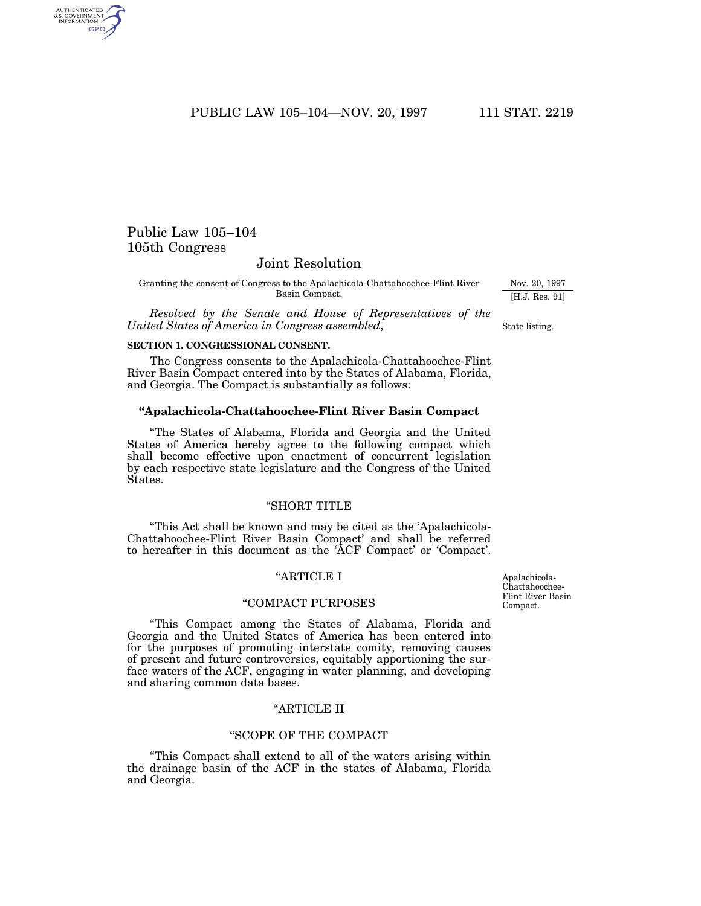PUBLIC LAW 105-104-NOV. 20, 1997 111 STAT. 2219

# Public Law 105–104 105th Congress

AUTHENTICATED<br>U.S. GOVERNMENT<br>INFORMATION GPO

# Joint Resolution

Granting the consent of Congress to the Apalachicola-Chattahoochee-Flint River Basin Compact.

*Resolved by the Senate and House of Representatives of the United States of America in Congress assembled*,

### **SECTION 1. CONGRESSIONAL CONSENT.**

The Congress consents to the Apalachicola-Chattahoochee-Flint River Basin Compact entered into by the States of Alabama, Florida, and Georgia. The Compact is substantially as follows:

#### **''Apalachicola-Chattahoochee-Flint River Basin Compact**

''The States of Alabama, Florida and Georgia and the United States of America hereby agree to the following compact which shall become effective upon enactment of concurrent legislation by each respective state legislature and the Congress of the United States.

### "SHORT TITLE

''This Act shall be known and may be cited as the 'Apalachicola-Chattahoochee-Flint River Basin Compact' and shall be referred to hereafter in this document as the 'ACF Compact' or 'Compact'.

# ''ARTICLE I

# ''COMPACT PURPOSES

''This Compact among the States of Alabama, Florida and Georgia and the United States of America has been entered into for the purposes of promoting interstate comity, removing causes of present and future controversies, equitably apportioning the surface waters of the ACF, engaging in water planning, and developing and sharing common data bases.

# ''ARTICLE II

# ''SCOPE OF THE COMPACT

''This Compact shall extend to all of the waters arising within the drainage basin of the ACF in the states of Alabama, Florida and Georgia.

Apalachicola-Chattahoochee-Flint River Basin Compact.

Nov. 20, 1997 [H.J. Res. 91]

State listing.

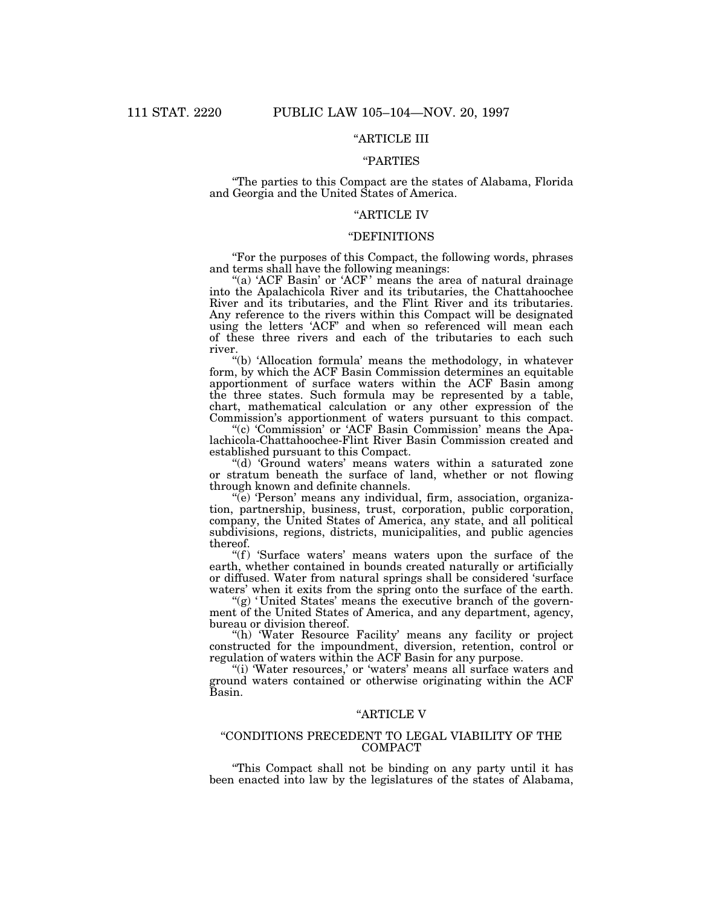# ''ARTICLE III

# ''PARTIES

''The parties to this Compact are the states of Alabama, Florida and Georgia and the United States of America.

# ''ARTICLE IV

#### ''DEFINITIONS

''For the purposes of this Compact, the following words, phrases and terms shall have the following meanings:

"(a) 'ACF Basin' or 'ACF' means the area of natural drainage into the Apalachicola River and its tributaries, the Chattahoochee River and its tributaries, and the Flint River and its tributaries. Any reference to the rivers within this Compact will be designated using the letters 'ACF' and when so referenced will mean each of these three rivers and each of the tributaries to each such river.

''(b) 'Allocation formula' means the methodology, in whatever form, by which the ACF Basin Commission determines an equitable apportionment of surface waters within the ACF Basin among the three states. Such formula may be represented by a table, chart, mathematical calculation or any other expression of the Commission's apportionment of waters pursuant to this compact.

''(c) 'Commission' or 'ACF Basin Commission' means the Apalachicola-Chattahoochee-Flint River Basin Commission created and established pursuant to this Compact.

''(d) 'Ground waters' means waters within a saturated zone or stratum beneath the surface of land, whether or not flowing through known and definite channels.

''(e) 'Person' means any individual, firm, association, organization, partnership, business, trust, corporation, public corporation, company, the United States of America, any state, and all political subdivisions, regions, districts, municipalities, and public agencies thereof.

"(f) 'Surface waters' means waters upon the surface of the earth, whether contained in bounds created naturally or artificially or diffused. Water from natural springs shall be considered 'surface waters' when it exits from the spring onto the surface of the earth.

" $(g)$  'United States' means the executive branch of the government of the United States of America, and any department, agency, bureau or division thereof.

"(h) 'Water Resource Facility' means any facility or project constructed for the impoundment, diversion, retention, control or regulation of waters within the ACF Basin for any purpose.

"(i) 'Water resources,' or 'waters' means all surface waters and ground waters contained or otherwise originating within the ACF Basin.

### ''ARTICLE V

# ''CONDITIONS PRECEDENT TO LEGAL VIABILITY OF THE COMPACT

''This Compact shall not be binding on any party until it has been enacted into law by the legislatures of the states of Alabama,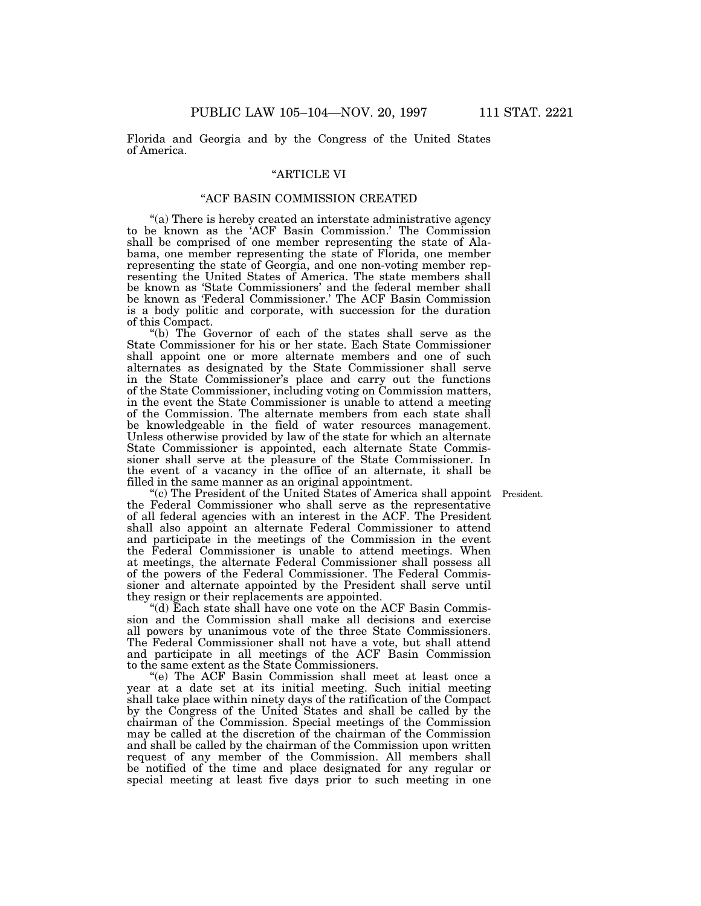Florida and Georgia and by the Congress of the United States of America.

# ''ARTICLE VI

# ''ACF BASIN COMMISSION CREATED

''(a) There is hereby created an interstate administrative agency to be known as the 'ACF Basin Commission.' The Commission shall be comprised of one member representing the state of Alabama, one member representing the state of Florida, one member representing the state of Georgia, and one non-voting member representing the United States of America. The state members shall be known as 'State Commissioners' and the federal member shall be known as 'Federal Commissioner.' The ACF Basin Commission is a body politic and corporate, with succession for the duration of this Compact.

''(b) The Governor of each of the states shall serve as the State Commissioner for his or her state. Each State Commissioner shall appoint one or more alternate members and one of such alternates as designated by the State Commissioner shall serve in the State Commissioner's place and carry out the functions of the State Commissioner, including voting on Commission matters, in the event the State Commissioner is unable to attend a meeting of the Commission. The alternate members from each state shall be knowledgeable in the field of water resources management. Unless otherwise provided by law of the state for which an alternate State Commissioner is appointed, each alternate State Commissioner shall serve at the pleasure of the State Commissioner. In the event of a vacancy in the office of an alternate, it shall be filled in the same manner as an original appointment.

"(c) The President of the United States of America shall appoint President. the Federal Commissioner who shall serve as the representative of all federal agencies with an interest in the ACF. The President shall also appoint an alternate Federal Commissioner to attend and participate in the meetings of the Commission in the event the Federal Commissioner is unable to attend meetings. When at meetings, the alternate Federal Commissioner shall possess all of the powers of the Federal Commissioner. The Federal Commissioner and alternate appointed by the President shall serve until they resign or their replacements are appointed.

''(d) Each state shall have one vote on the ACF Basin Commission and the Commission shall make all decisions and exercise all powers by unanimous vote of the three State Commissioners. The Federal Commissioner shall not have a vote, but shall attend and participate in all meetings of the ACF Basin Commission to the same extent as the State Commissioners.

''(e) The ACF Basin Commission shall meet at least once a year at a date set at its initial meeting. Such initial meeting shall take place within ninety days of the ratification of the Compact by the Congress of the United States and shall be called by the chairman of the Commission. Special meetings of the Commission may be called at the discretion of the chairman of the Commission and shall be called by the chairman of the Commission upon written request of any member of the Commission. All members shall be notified of the time and place designated for any regular or special meeting at least five days prior to such meeting in one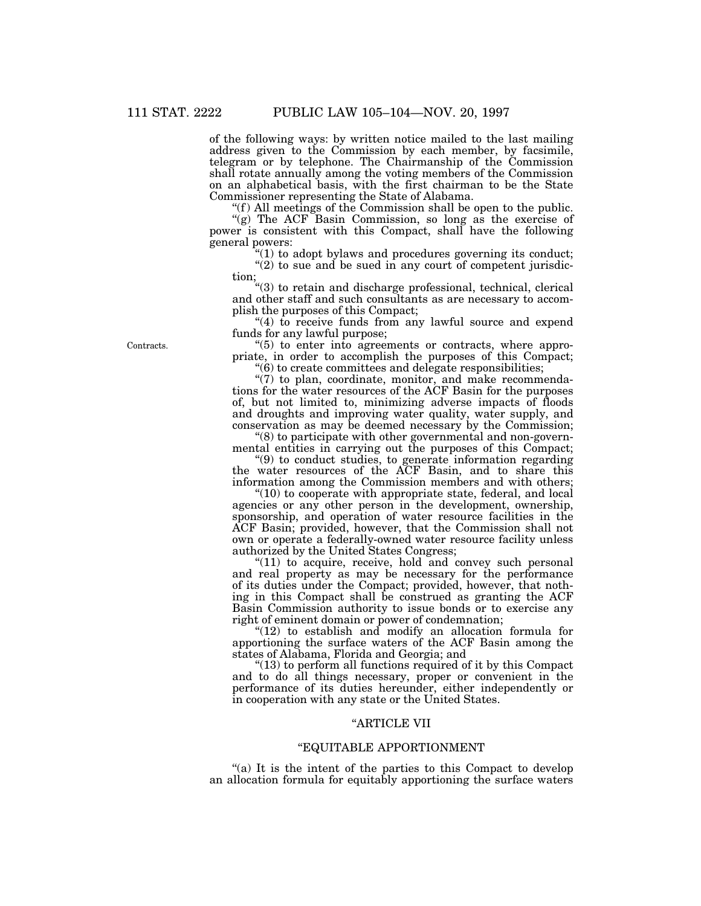of the following ways: by written notice mailed to the last mailing address given to the Commission by each member, by facsimile, telegram or by telephone. The Chairmanship of the Commission shall rotate annually among the voting members of the Commission on an alphabetical basis, with the first chairman to be the State Commissioner representing the State of Alabama.

" $(f)$  All meetings of the Commission shall be open to the public. "(g) The ACF Basin Commission, so long as the exercise of power is consistent with this Compact, shall have the following general powers:

 $(1)$  to adopt bylaws and procedures governing its conduct;

 $(2)$  to sue and be sued in any court of competent jurisdiction;

''(3) to retain and discharge professional, technical, clerical and other staff and such consultants as are necessary to accomplish the purposes of this Compact;

"(4) to receive funds from any lawful source and expend funds for any lawful purpose;

''(5) to enter into agreements or contracts, where appropriate, in order to accomplish the purposes of this Compact;  $(6)$  to create committees and delegate responsibilities;

"(7) to plan, coordinate, monitor, and make recommendations for the water resources of the ACF Basin for the purposes of, but not limited to, minimizing adverse impacts of floods and droughts and improving water quality, water supply, and conservation as may be deemed necessary by the Commission;

''(8) to participate with other governmental and non-governmental entities in carrying out the purposes of this Compact; ''(9) to conduct studies, to generate information regarding

the water resources of the ACF Basin, and to share this information among the Commission members and with others; ''(10) to cooperate with appropriate state, federal, and local

agencies or any other person in the development, ownership, sponsorship, and operation of water resource facilities in the ACF Basin; provided, however, that the Commission shall not own or operate a federally-owned water resource facility unless authorized by the United States Congress;

"(11) to acquire, receive, hold and convey such personal and real property as may be necessary for the performance of its duties under the Compact; provided, however, that nothing in this Compact shall be construed as granting the ACF Basin Commission authority to issue bonds or to exercise any right of eminent domain or power of condemnation;

" $(12)$  to establish and modify an allocation formula for apportioning the surface waters of the ACF Basin among the states of Alabama, Florida and Georgia; and

 $(13)$  to perform all functions required of it by this Compact and to do all things necessary, proper or convenient in the performance of its duties hereunder, either independently or in cooperation with any state or the United States.

# ''ARTICLE VII

# ''EQUITABLE APPORTIONMENT

"(a) It is the intent of the parties to this Compact to develop an allocation formula for equitably apportioning the surface waters

Contracts.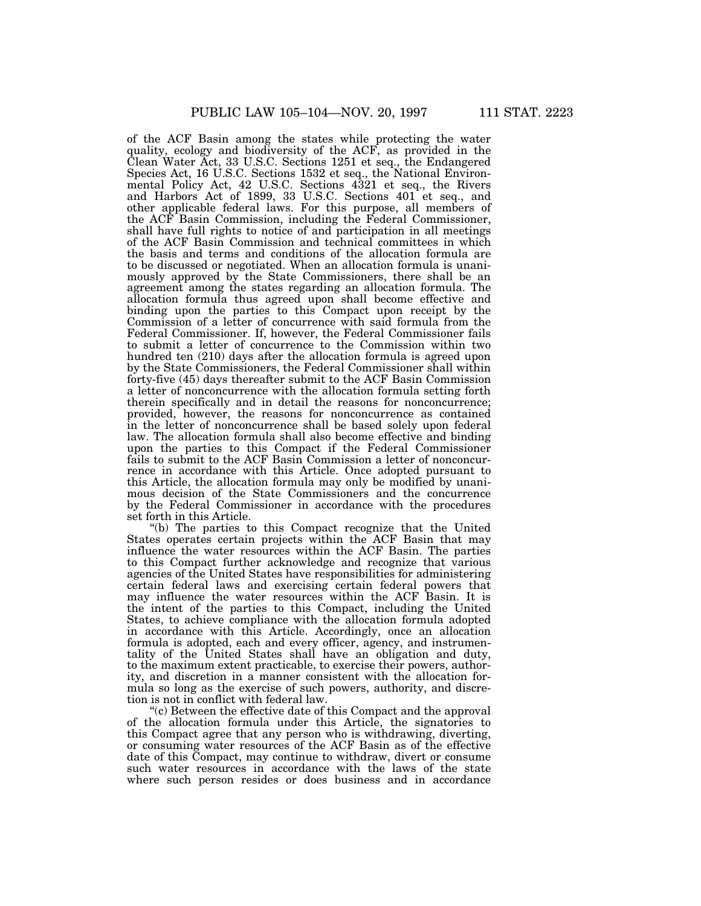of the ACF Basin among the states while protecting the water quality, ecology and biodiversity of the ACF, as provided in the Clean Water Act, 33 U.S.C. Sections 1251 et seq., the Endangered Species Act, 16 U.S.C. Sections 1532 et seq., the National Environmental Policy Act, 42 U.S.C. Sections 4321 et seq., the Rivers and Harbors Act of 1899, 33 U.S.C. Sections 401 et seq., and other applicable federal laws. For this purpose, all members of the ACF Basin Commission, including the Federal Commissioner, shall have full rights to notice of and participation in all meetings of the ACF Basin Commission and technical committees in which the basis and terms and conditions of the allocation formula are to be discussed or negotiated. When an allocation formula is unanimously approved by the State Commissioners, there shall be an agreement among the states regarding an allocation formula. The allocation formula thus agreed upon shall become effective and binding upon the parties to this Compact upon receipt by the Commission of a letter of concurrence with said formula from the Federal Commissioner. If, however, the Federal Commissioner fails to submit a letter of concurrence to the Commission within two hundred ten (210) days after the allocation formula is agreed upon by the State Commissioners, the Federal Commissioner shall within forty-five (45) days thereafter submit to the ACF Basin Commission a letter of nonconcurrence with the allocation formula setting forth therein specifically and in detail the reasons for nonconcurrence; provided, however, the reasons for nonconcurrence as contained in the letter of nonconcurrence shall be based solely upon federal law. The allocation formula shall also become effective and binding upon the parties to this Compact if the Federal Commissioner fails to submit to the ACF Basin Commission a letter of nonconcurrence in accordance with this Article. Once adopted pursuant to this Article, the allocation formula may only be modified by unanimous decision of the State Commissioners and the concurrence by the Federal Commissioner in accordance with the procedures set forth in this Article.

''(b) The parties to this Compact recognize that the United States operates certain projects within the ACF Basin that may influence the water resources within the ACF Basin. The parties to this Compact further acknowledge and recognize that various agencies of the United States have responsibilities for administering certain federal laws and exercising certain federal powers that may influence the water resources within the ACF Basin. It is the intent of the parties to this Compact, including the United States, to achieve compliance with the allocation formula adopted in accordance with this Article. Accordingly, once an allocation formula is adopted, each and every officer, agency, and instrumentality of the United States shall have an obligation and duty, to the maximum extent practicable, to exercise their powers, authority, and discretion in a manner consistent with the allocation formula so long as the exercise of such powers, authority, and discretion is not in conflict with federal law.

''(c) Between the effective date of this Compact and the approval of the allocation formula under this Article, the signatories to this Compact agree that any person who is withdrawing, diverting, or consuming water resources of the ACF Basin as of the effective date of this Compact, may continue to withdraw, divert or consume such water resources in accordance with the laws of the state where such person resides or does business and in accordance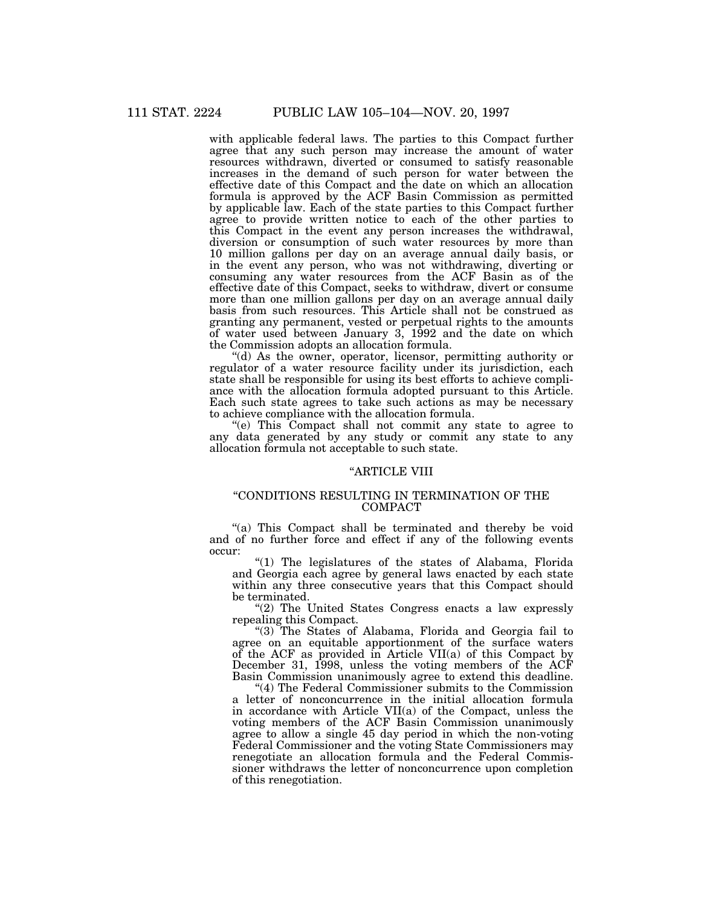with applicable federal laws. The parties to this Compact further agree that any such person may increase the amount of water resources withdrawn, diverted or consumed to satisfy reasonable increases in the demand of such person for water between the effective date of this Compact and the date on which an allocation formula is approved by the ACF Basin Commission as permitted by applicable law. Each of the state parties to this Compact further agree to provide written notice to each of the other parties to this Compact in the event any person increases the withdrawal, diversion or consumption of such water resources by more than 10 million gallons per day on an average annual daily basis, or in the event any person, who was not withdrawing, diverting or consuming any water resources from the ACF Basin as of the effective date of this Compact, seeks to withdraw, divert or consume more than one million gallons per day on an average annual daily basis from such resources. This Article shall not be construed as granting any permanent, vested or perpetual rights to the amounts of water used between January 3, 1992 and the date on which the Commission adopts an allocation formula.

''(d) As the owner, operator, licensor, permitting authority or regulator of a water resource facility under its jurisdiction, each state shall be responsible for using its best efforts to achieve compliance with the allocation formula adopted pursuant to this Article. Each such state agrees to take such actions as may be necessary to achieve compliance with the allocation formula.

''(e) This Compact shall not commit any state to agree to any data generated by any study or commit any state to any allocation formula not acceptable to such state.

#### ''ARTICLE VIII

### ''CONDITIONS RESULTING IN TERMINATION OF THE COMPACT

''(a) This Compact shall be terminated and thereby be void and of no further force and effect if any of the following events occur:

''(1) The legislatures of the states of Alabama, Florida and Georgia each agree by general laws enacted by each state within any three consecutive years that this Compact should be terminated.

"(2) The United States Congress enacts a law expressly repealing this Compact.

''(3) The States of Alabama, Florida and Georgia fail to agree on an equitable apportionment of the surface waters of the ACF as provided in Article VII(a) of this Compact by December 31, 1998, unless the voting members of the ACF Basin Commission unanimously agree to extend this deadline.

''(4) The Federal Commissioner submits to the Commission a letter of nonconcurrence in the initial allocation formula in accordance with Article VII(a) of the Compact, unless the voting members of the ACF Basin Commission unanimously agree to allow a single 45 day period in which the non-voting Federal Commissioner and the voting State Commissioners may renegotiate an allocation formula and the Federal Commissioner withdraws the letter of nonconcurrence upon completion of this renegotiation.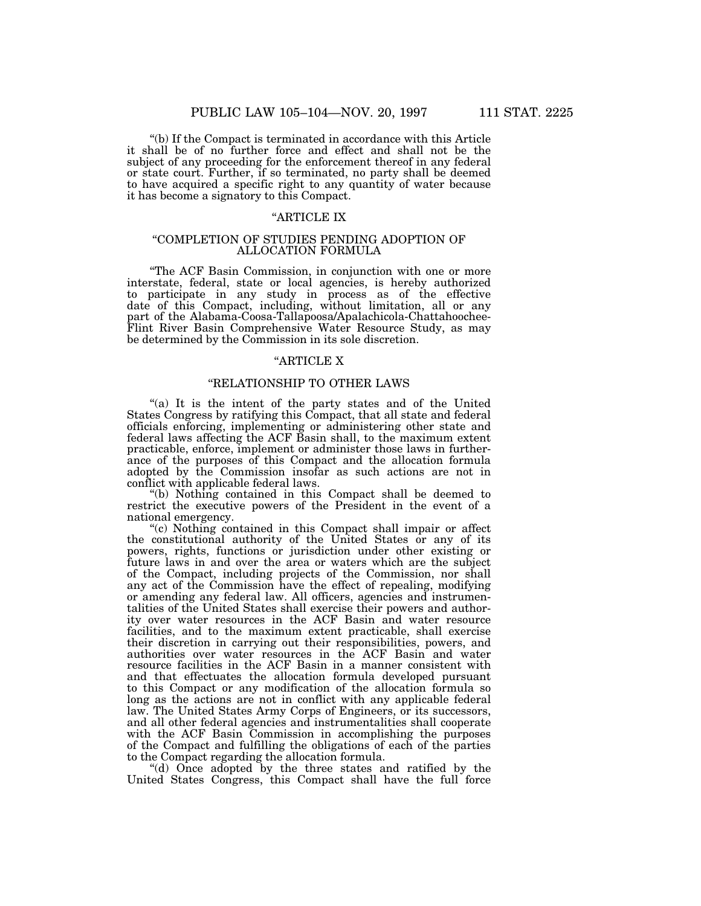''(b) If the Compact is terminated in accordance with this Article it shall be of no further force and effect and shall not be the subject of any proceeding for the enforcement thereof in any federal or state court. Further, if so terminated, no party shall be deemed to have acquired a specific right to any quantity of water because it has become a signatory to this Compact.

### ''ARTICLE IX

#### ''COMPLETION OF STUDIES PENDING ADOPTION OF ALLOCATION FORMULA

''The ACF Basin Commission, in conjunction with one or more interstate, federal, state or local agencies, is hereby authorized to participate in any study in process as of the effective date of this Compact, including, without limitation, all or any part of the Alabama-Coosa-Tallapoosa/Apalachicola-Chattahoochee-Flint River Basin Comprehensive Water Resource Study, as may be determined by the Commission in its sole discretion.

#### ''ARTICLE X

# ''RELATIONSHIP TO OTHER LAWS

"(a) It is the intent of the party states and of the United States Congress by ratifying this Compact, that all state and federal officials enforcing, implementing or administering other state and federal laws affecting the ACF Basin shall, to the maximum extent practicable, enforce, implement or administer those laws in furtherance of the purposes of this Compact and the allocation formula adopted by the Commission insofar as such actions are not in conflict with applicable federal laws.

''(b) Nothing contained in this Compact shall be deemed to restrict the executive powers of the President in the event of a national emergency.

''(c) Nothing contained in this Compact shall impair or affect the constitutional authority of the United States or any of its powers, rights, functions or jurisdiction under other existing or future laws in and over the area or waters which are the subject of the Compact, including projects of the Commission, nor shall any act of the Commission have the effect of repealing, modifying or amending any federal law. All officers, agencies and instrumentalities of the United States shall exercise their powers and authority over water resources in the ACF Basin and water resource facilities, and to the maximum extent practicable, shall exercise their discretion in carrying out their responsibilities, powers, and authorities over water resources in the ACF Basin and water resource facilities in the ACF Basin in a manner consistent with and that effectuates the allocation formula developed pursuant to this Compact or any modification of the allocation formula so long as the actions are not in conflict with any applicable federal law. The United States Army Corps of Engineers, or its successors, and all other federal agencies and instrumentalities shall cooperate with the ACF Basin Commission in accomplishing the purposes of the Compact and fulfilling the obligations of each of the parties to the Compact regarding the allocation formula.

''(d) Once adopted by the three states and ratified by the United States Congress, this Compact shall have the full force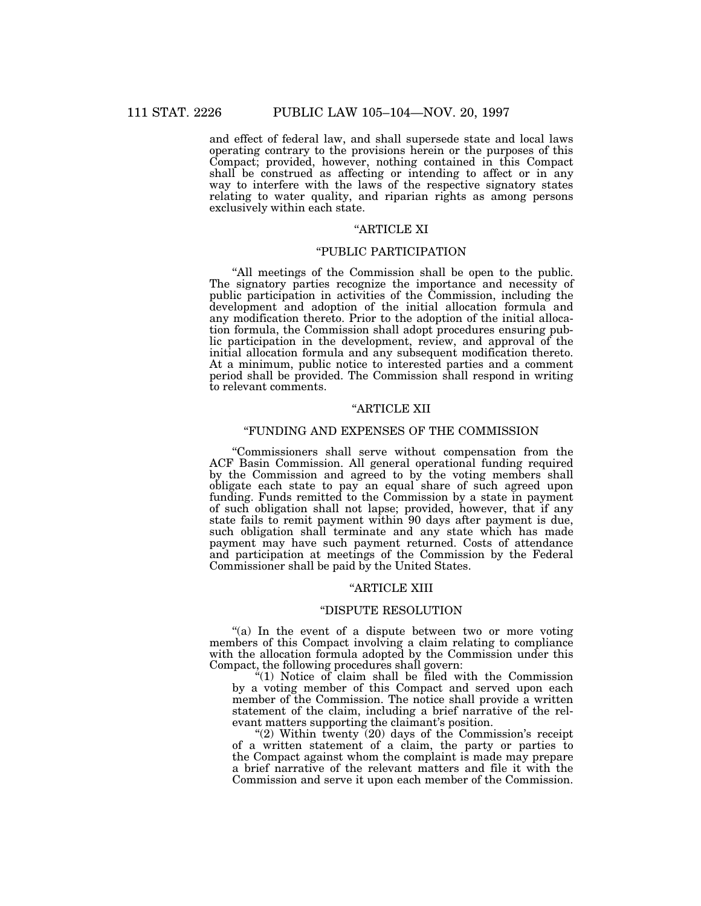and effect of federal law, and shall supersede state and local laws operating contrary to the provisions herein or the purposes of this Compact; provided, however, nothing contained in this Compact shall be construed as affecting or intending to affect or in any way to interfere with the laws of the respective signatory states relating to water quality, and riparian rights as among persons exclusively within each state.

# ''ARTICLE XI

#### ''PUBLIC PARTICIPATION

''All meetings of the Commission shall be open to the public. The signatory parties recognize the importance and necessity of public participation in activities of the Commission, including the development and adoption of the initial allocation formula and any modification thereto. Prior to the adoption of the initial allocation formula, the Commission shall adopt procedures ensuring public participation in the development, review, and approval of the initial allocation formula and any subsequent modification thereto. At a minimum, public notice to interested parties and a comment period shall be provided. The Commission shall respond in writing to relevant comments.

# ''ARTICLE XII

#### ''FUNDING AND EXPENSES OF THE COMMISSION

''Commissioners shall serve without compensation from the ACF Basin Commission. All general operational funding required by the Commission and agreed to by the voting members shall obligate each state to pay an equal share of such agreed upon funding. Funds remitted to the Commission by a state in payment of such obligation shall not lapse; provided, however, that if any state fails to remit payment within 90 days after payment is due, such obligation shall terminate and any state which has made payment may have such payment returned. Costs of attendance and participation at meetings of the Commission by the Federal Commissioner shall be paid by the United States.

#### ''ARTICLE XIII

#### ''DISPUTE RESOLUTION

"(a) In the event of a dispute between two or more voting members of this Compact involving a claim relating to compliance with the allocation formula adopted by the Commission under this Compact, the following procedures shall govern:

"(1) Notice of claim shall be filed with the Commission by a voting member of this Compact and served upon each member of the Commission. The notice shall provide a written statement of the claim, including a brief narrative of the relevant matters supporting the claimant's position.

" $(2)$  Within twenty  $(20)$  days of the Commission's receipt of a written statement of a claim, the party or parties to the Compact against whom the complaint is made may prepare a brief narrative of the relevant matters and file it with the Commission and serve it upon each member of the Commission.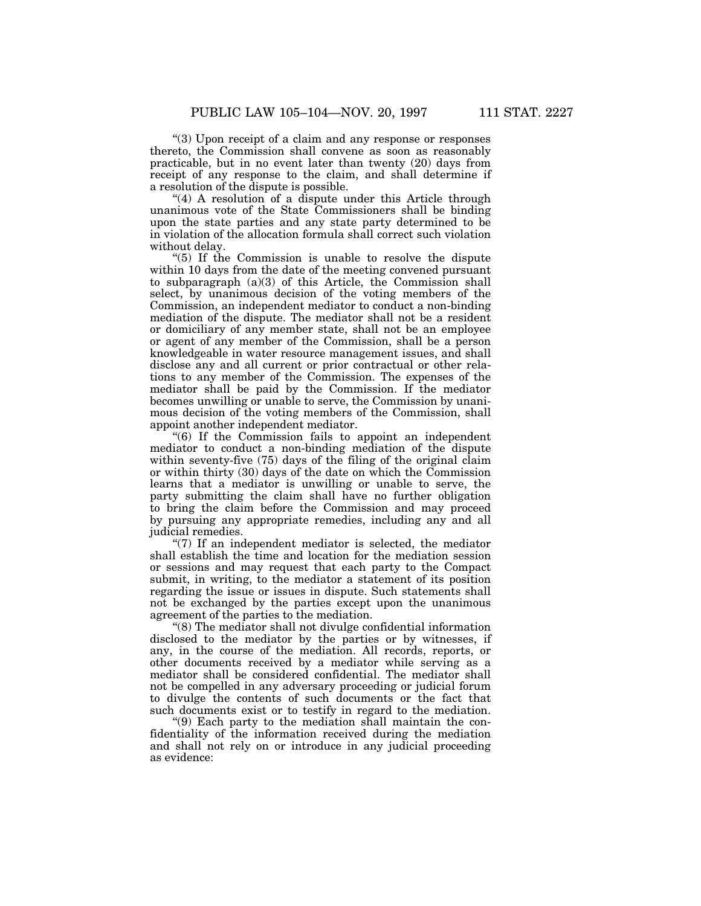''(3) Upon receipt of a claim and any response or responses thereto, the Commission shall convene as soon as reasonably practicable, but in no event later than twenty (20) days from receipt of any response to the claim, and shall determine if a resolution of the dispute is possible.

"(4) A resolution of a dispute under this Article through unanimous vote of the State Commissioners shall be binding upon the state parties and any state party determined to be in violation of the allocation formula shall correct such violation without delay.

''(5) If the Commission is unable to resolve the dispute within 10 days from the date of the meeting convened pursuant to subparagraph (a)(3) of this Article, the Commission shall select, by unanimous decision of the voting members of the Commission, an independent mediator to conduct a non-binding mediation of the dispute. The mediator shall not be a resident or domiciliary of any member state, shall not be an employee or agent of any member of the Commission, shall be a person knowledgeable in water resource management issues, and shall disclose any and all current or prior contractual or other relations to any member of the Commission. The expenses of the mediator shall be paid by the Commission. If the mediator becomes unwilling or unable to serve, the Commission by unanimous decision of the voting members of the Commission, shall appoint another independent mediator.

''(6) If the Commission fails to appoint an independent mediator to conduct a non-binding mediation of the dispute within seventy-five (75) days of the filing of the original claim or within thirty (30) days of the date on which the Commission learns that a mediator is unwilling or unable to serve, the party submitting the claim shall have no further obligation to bring the claim before the Commission and may proceed by pursuing any appropriate remedies, including any and all judicial remedies.

 $\degree$ (7) If an independent mediator is selected, the mediator shall establish the time and location for the mediation session or sessions and may request that each party to the Compact submit, in writing, to the mediator a statement of its position regarding the issue or issues in dispute. Such statements shall not be exchanged by the parties except upon the unanimous agreement of the parties to the mediation.

''(8) The mediator shall not divulge confidential information disclosed to the mediator by the parties or by witnesses, if any, in the course of the mediation. All records, reports, or other documents received by a mediator while serving as a mediator shall be considered confidential. The mediator shall not be compelled in any adversary proceeding or judicial forum to divulge the contents of such documents or the fact that such documents exist or to testify in regard to the mediation.

''(9) Each party to the mediation shall maintain the confidentiality of the information received during the mediation and shall not rely on or introduce in any judicial proceeding as evidence: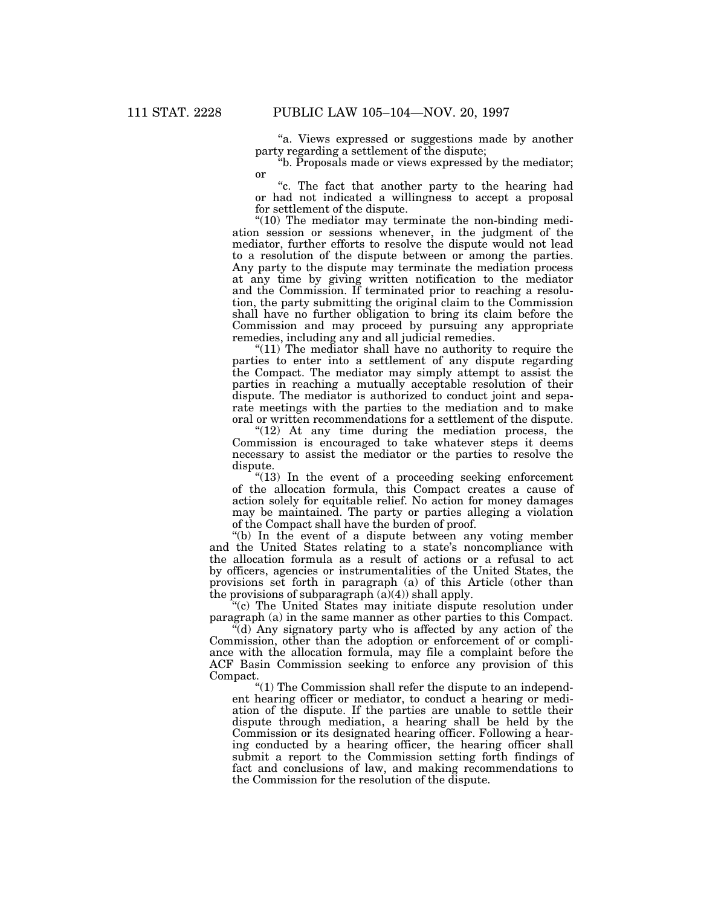"a. Views expressed or suggestions made by another party regarding a settlement of the dispute;

''b. Proposals made or views expressed by the mediator; or

''c. The fact that another party to the hearing had or had not indicated a willingness to accept a proposal for settlement of the dispute.

" $(10)$  The mediator may terminate the non-binding mediation session or sessions whenever, in the judgment of the mediator, further efforts to resolve the dispute would not lead to a resolution of the dispute between or among the parties. Any party to the dispute may terminate the mediation process at any time by giving written notification to the mediator and the Commission. If terminated prior to reaching a resolution, the party submitting the original claim to the Commission shall have no further obligation to bring its claim before the Commission and may proceed by pursuing any appropriate remedies, including any and all judicial remedies.

" $(11)$  The mediator shall have no authority to require the parties to enter into a settlement of any dispute regarding the Compact. The mediator may simply attempt to assist the parties in reaching a mutually acceptable resolution of their dispute. The mediator is authorized to conduct joint and separate meetings with the parties to the mediation and to make oral or written recommendations for a settlement of the dispute.

" $(12)$  At any time during the mediation process, the Commission is encouraged to take whatever steps it deems necessary to assist the mediator or the parties to resolve the dispute.

" $(13)$  In the event of a proceeding seeking enforcement of the allocation formula, this Compact creates a cause of action solely for equitable relief. No action for money damages may be maintained. The party or parties alleging a violation of the Compact shall have the burden of proof.

''(b) In the event of a dispute between any voting member and the United States relating to a state's noncompliance with the allocation formula as a result of actions or a refusal to act by officers, agencies or instrumentalities of the United States, the provisions set forth in paragraph (a) of this Article (other than the provisions of subparagraph  $(a)(4)$  shall apply.

''(c) The United States may initiate dispute resolution under paragraph (a) in the same manner as other parties to this Compact.

 $\mathcal{H}(d)$  Any signatory party who is affected by any action of the Commission, other than the adoption or enforcement of or compliance with the allocation formula, may file a complaint before the ACF Basin Commission seeking to enforce any provision of this Compact.

''(1) The Commission shall refer the dispute to an independent hearing officer or mediator, to conduct a hearing or mediation of the dispute. If the parties are unable to settle their dispute through mediation, a hearing shall be held by the Commission or its designated hearing officer. Following a hearing conducted by a hearing officer, the hearing officer shall submit a report to the Commission setting forth findings of fact and conclusions of law, and making recommendations to the Commission for the resolution of the dispute.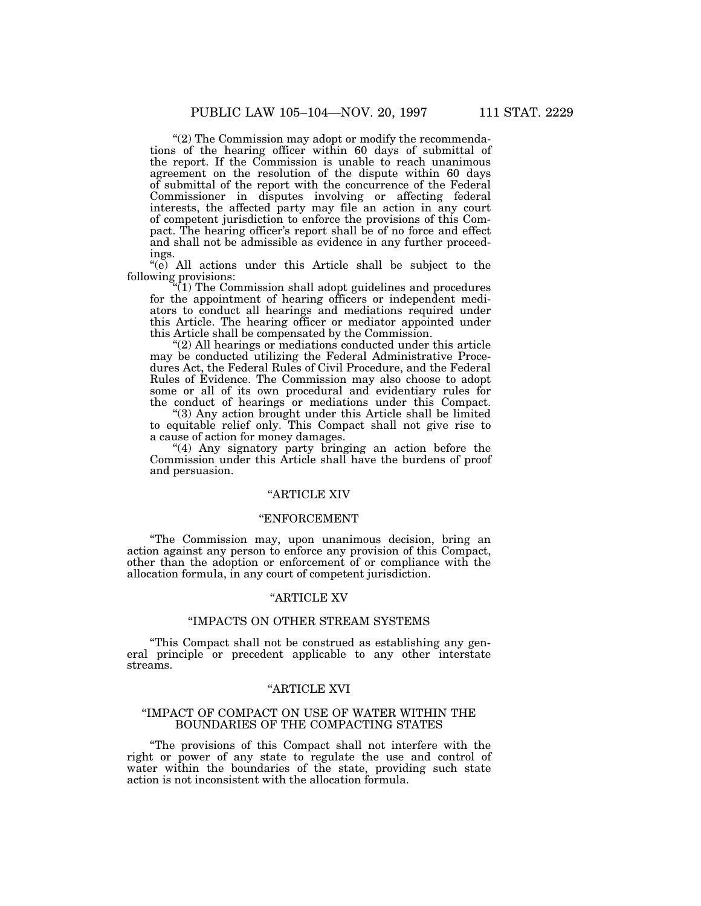"(2) The Commission may adopt or modify the recommendations of the hearing officer within 60 days of submittal of the report. If the Commission is unable to reach unanimous agreement on the resolution of the dispute within 60 days of submittal of the report with the concurrence of the Federal Commissioner in disputes involving or affecting federal interests, the affected party may file an action in any court of competent jurisdiction to enforce the provisions of this Compact. The hearing officer's report shall be of no force and effect and shall not be admissible as evidence in any further proceedings.

''(e) All actions under this Article shall be subject to the following provisions:

''(1) The Commission shall adopt guidelines and procedures for the appointment of hearing officers or independent mediators to conduct all hearings and mediations required under this Article. The hearing officer or mediator appointed under this Article shall be compensated by the Commission.

 $(2)$  All hearings or mediations conducted under this article may be conducted utilizing the Federal Administrative Procedures Act, the Federal Rules of Civil Procedure, and the Federal Rules of Evidence. The Commission may also choose to adopt some or all of its own procedural and evidentiary rules for the conduct of hearings or mediations under this Compact.

''(3) Any action brought under this Article shall be limited to equitable relief only. This Compact shall not give rise to a cause of action for money damages.

"(4) Any signatory party bringing an action before the Commission under this Article shall have the burdens of proof and persuasion.

# ''ARTICLE XIV

# ''ENFORCEMENT

''The Commission may, upon unanimous decision, bring an action against any person to enforce any provision of this Compact, other than the adoption or enforcement of or compliance with the allocation formula, in any court of competent jurisdiction.

#### ''ARTICLE XV

#### ''IMPACTS ON OTHER STREAM SYSTEMS

''This Compact shall not be construed as establishing any general principle or precedent applicable to any other interstate streams.

### ''ARTICLE XVI

#### ''IMPACT OF COMPACT ON USE OF WATER WITHIN THE BOUNDARIES OF THE COMPACTING STATES

''The provisions of this Compact shall not interfere with the right or power of any state to regulate the use and control of water within the boundaries of the state, providing such state action is not inconsistent with the allocation formula.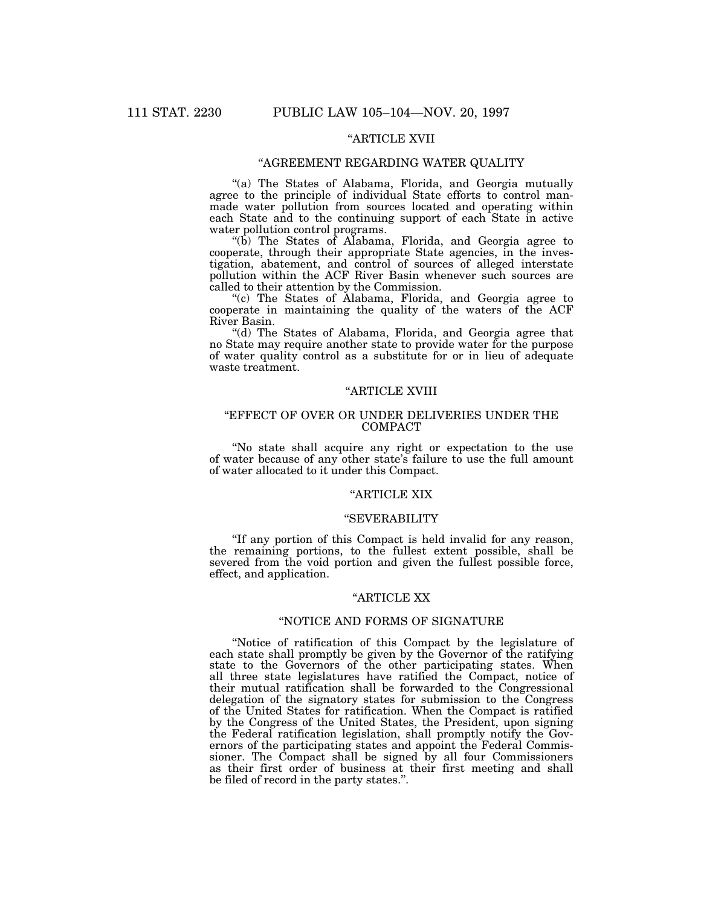# ''ARTICLE XVII

# ''AGREEMENT REGARDING WATER QUALITY

''(a) The States of Alabama, Florida, and Georgia mutually agree to the principle of individual State efforts to control manmade water pollution from sources located and operating within each State and to the continuing support of each State in active water pollution control programs.

''(b) The States of Alabama, Florida, and Georgia agree to cooperate, through their appropriate State agencies, in the investigation, abatement, and control of sources of alleged interstate pollution within the ACF River Basin whenever such sources are called to their attention by the Commission.

''(c) The States of Alabama, Florida, and Georgia agree to cooperate in maintaining the quality of the waters of the ACF River Basin.

''(d) The States of Alabama, Florida, and Georgia agree that no State may require another state to provide water for the purpose of water quality control as a substitute for or in lieu of adequate waste treatment.

# "ARTICLE XVIII

# "EFFECT OF OVER OR UNDER DELIVERIES UNDER THE COMPACT

''No state shall acquire any right or expectation to the use of water because of any other state's failure to use the full amount of water allocated to it under this Compact.

# ''ARTICLE XIX

### ''SEVERABILITY

''If any portion of this Compact is held invalid for any reason, the remaining portions, to the fullest extent possible, shall be severed from the void portion and given the fullest possible force, effect, and application.

# ''ARTICLE XX

# ''NOTICE AND FORMS OF SIGNATURE

''Notice of ratification of this Compact by the legislature of each state shall promptly be given by the Governor of the ratifying state to the Governors of the other participating states. When all three state legislatures have ratified the Compact, notice of their mutual ratification shall be forwarded to the Congressional delegation of the signatory states for submission to the Congress of the United States for ratification. When the Compact is ratified by the Congress of the United States, the President, upon signing the Federal ratification legislation, shall promptly notify the Governors of the participating states and appoint the Federal Commissioner. The Compact shall be signed by all four Commissioners as their first order of business at their first meeting and shall be filed of record in the party states.''.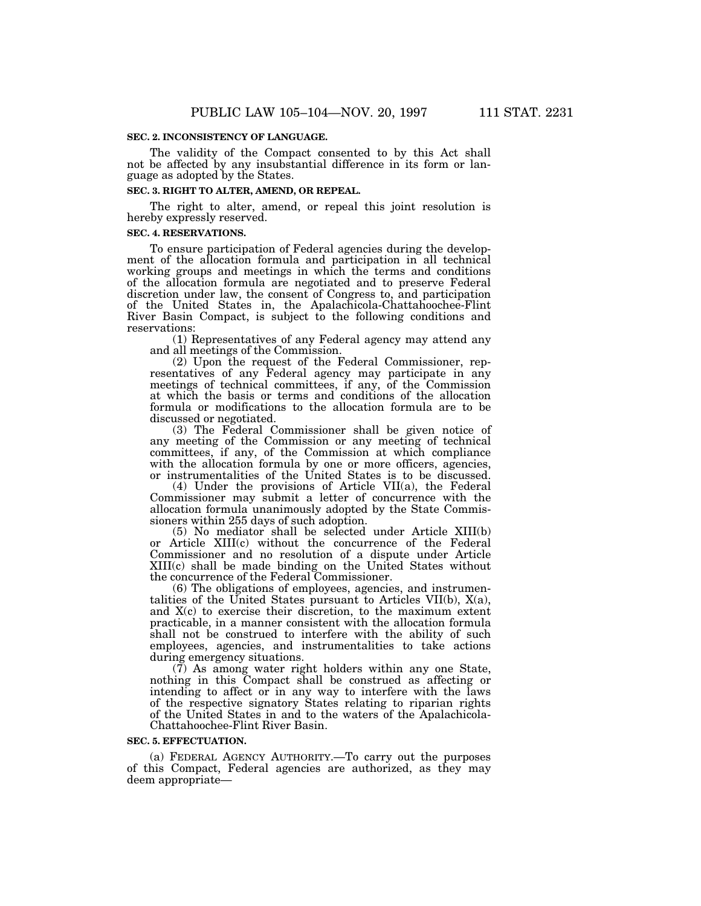#### **SEC. 2. INCONSISTENCY OF LANGUAGE.**

The validity of the Compact consented to by this Act shall not be affected by any insubstantial difference in its form or language as adopted by the States.

#### **SEC. 3. RIGHT TO ALTER, AMEND, OR REPEAL.**

The right to alter, amend, or repeal this joint resolution is hereby expressly reserved.

#### **SEC. 4. RESERVATIONS.**

To ensure participation of Federal agencies during the development of the allocation formula and participation in all technical working groups and meetings in which the terms and conditions of the allocation formula are negotiated and to preserve Federal discretion under law, the consent of Congress to, and participation of the United States in, the Apalachicola-Chattahoochee-Flint River Basin Compact, is subject to the following conditions and reservations:

(1) Representatives of any Federal agency may attend any and all meetings of the Commission.

(2) Upon the request of the Federal Commissioner, representatives of any Federal agency may participate in any meetings of technical committees, if any, of the Commission at which the basis or terms and conditions of the allocation formula or modifications to the allocation formula are to be discussed or negotiated.

(3) The Federal Commissioner shall be given notice of any meeting of the Commission or any meeting of technical committees, if any, of the Commission at which compliance with the allocation formula by one or more officers, agencies, or instrumentalities of the United States is to be discussed.

(4) Under the provisions of Article VII(a), the Federal Commissioner may submit a letter of concurrence with the allocation formula unanimously adopted by the State Commissioners within 255 days of such adoption.

(5) No mediator shall be selected under Article XIII(b) or Article XIII(c) without the concurrence of the Federal Commissioner and no resolution of a dispute under Article XIII(c) shall be made binding on the United States without the concurrence of the Federal Commissioner.

(6) The obligations of employees, agencies, and instrumentalities of the United States pursuant to Articles VII(b), X(a), and X(c) to exercise their discretion, to the maximum extent practicable, in a manner consistent with the allocation formula shall not be construed to interfere with the ability of such employees, agencies, and instrumentalities to take actions during emergency situations.

(7) As among water right holders within any one State, nothing in this Compact shall be construed as affecting or intending to affect or in any way to interfere with the laws of the respective signatory States relating to riparian rights of the United States in and to the waters of the Apalachicola-Chattahoochee-Flint River Basin.

#### **SEC. 5. EFFECTUATION.**

(a) FEDERAL AGENCY AUTHORITY.—To carry out the purposes of this Compact, Federal agencies are authorized, as they may deem appropriate—